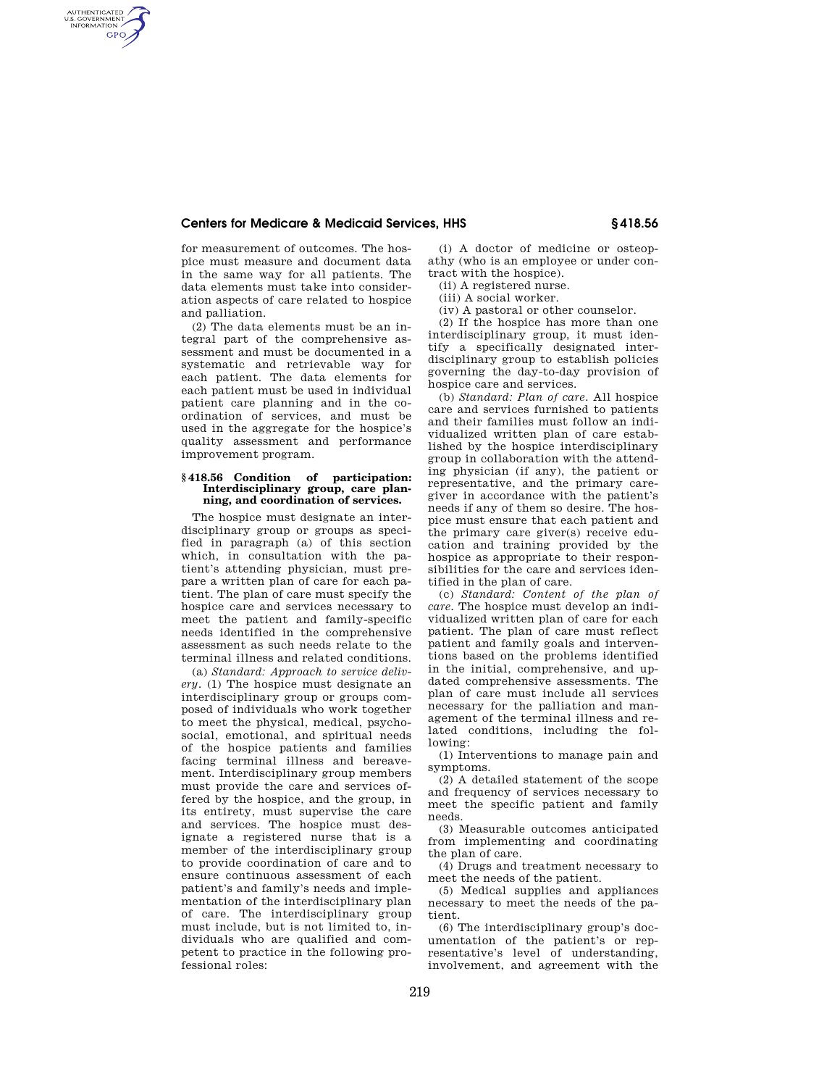## **Centers for Medicare & Medicaid Services, HHS § 418.56**

for measurement of outcomes. The hospice must measure and document data in the same way for all patients. The data elements must take into consideration aspects of care related to hospice and palliation.

AUTHENTICATED<br>U.S. GOVERNMENT<br>INFORMATION **GPO** 

> (2) The data elements must be an integral part of the comprehensive assessment and must be documented in a systematic and retrievable way for each patient. The data elements for each patient must be used in individual patient care planning and in the coordination of services, and must be used in the aggregate for the hospice's quality assessment and performance improvement program.

## **§ 418.56 Condition of participation: Interdisciplinary group, care planning, and coordination of services.**

The hospice must designate an interdisciplinary group or groups as specified in paragraph (a) of this section which, in consultation with the patient's attending physician, must prepare a written plan of care for each patient. The plan of care must specify the hospice care and services necessary to meet the patient and family-specific needs identified in the comprehensive assessment as such needs relate to the terminal illness and related conditions.

(a) *Standard: Approach to service delivery.* (1) The hospice must designate an interdisciplinary group or groups composed of individuals who work together to meet the physical, medical, psychosocial, emotional, and spiritual needs of the hospice patients and families facing terminal illness and bereavement. Interdisciplinary group members must provide the care and services offered by the hospice, and the group, in its entirety, must supervise the care and services. The hospice must designate a registered nurse that is a member of the interdisciplinary group to provide coordination of care and to ensure continuous assessment of each patient's and family's needs and implementation of the interdisciplinary plan of care. The interdisciplinary group must include, but is not limited to, individuals who are qualified and competent to practice in the following professional roles:

(i) A doctor of medicine or osteopathy (who is an employee or under contract with the hospice).

(ii) A registered nurse.

(iii) A social worker.

(iv) A pastoral or other counselor.

(2) If the hospice has more than one interdisciplinary group, it must identify a specifically designated interdisciplinary group to establish policies governing the day-to-day provision of hospice care and services.

(b) *Standard: Plan of care.* All hospice care and services furnished to patients and their families must follow an individualized written plan of care established by the hospice interdisciplinary group in collaboration with the attending physician (if any), the patient or representative, and the primary caregiver in accordance with the patient's needs if any of them so desire. The hospice must ensure that each patient and the primary care giver(s) receive education and training provided by the hospice as appropriate to their responsibilities for the care and services identified in the plan of care.

(c) *Standard: Content of the plan of care.* The hospice must develop an individualized written plan of care for each patient. The plan of care must reflect patient and family goals and interventions based on the problems identified in the initial, comprehensive, and updated comprehensive assessments. The plan of care must include all services necessary for the palliation and management of the terminal illness and related conditions, including the following:

(1) Interventions to manage pain and symptoms.

(2) A detailed statement of the scope and frequency of services necessary to meet the specific patient and family needs.

(3) Measurable outcomes anticipated from implementing and coordinating the plan of care.

(4) Drugs and treatment necessary to meet the needs of the patient.

(5) Medical supplies and appliances necessary to meet the needs of the patient.

(6) The interdisciplinary group's documentation of the patient's or representative's level of understanding, involvement, and agreement with the